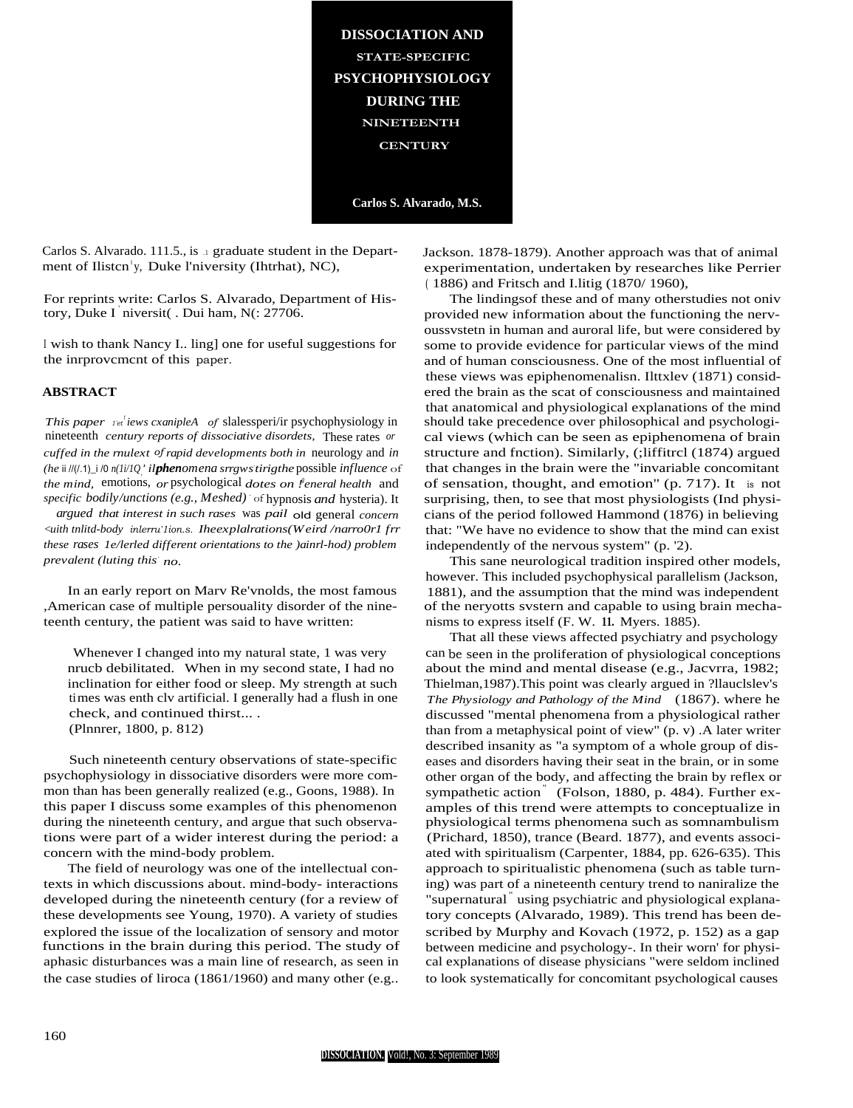**DISSOCIATION AND STATE-SPECIFIC PSYCHOPHYSIOLOGY DURING THE NINETEENTH CENTURY** 

Carlos S. Alvarado, M.S.

Carlos S. Alvarado. 111.5., is a graduate student in the Department of Ilisten<sup>1</sup>y, Duke l'niversity (Ihtrhat), NC),

For reprints write: Carlos S. Alvarado, Department of History, Duke I niversit(. Dui ham, N(: 27706.

I wish to thank Nancy I., ling] one for useful suggestions for the inrprovement of this paper.

## **ABSTRACT**

This paper ret iews cxanipleA of slalessperi/ir psychophysiology in nineteenth century reports of dissociative disordets, These rates or cuffed in the rnulext of rapid developments both in neurology and in (he ii  $I/(1.1)$ \_i /0  $n(Ii/IQ'$  ilphenomena srrgws tirigthe possible influence of *the mind*, emotions, *or* psychological *dotes on feneral health* and specific bodily/unctions (e.g., Meshed) of hypnosis and hysteria). It

argued that interest in such rases was pail old general concern <uith tnlitd-body inlerru'lion.s. Iheexplairations(Weird /narro0r1 frr these rases le/lerled different orientations to the )ainrl-hod) problem prevalent (luting this no.

In an early report on Marv Re'vnolds, the most famous ,American case of multiple persouality disorder of the nineteenth century, the patient was said to have written:

Whenever I changed into my natural state, 1 was very nrucb debilitated. When in my second state, I had no inclination for either food or sleep. My strength at such times was enth clv artificial. I generally had a flush in one check, and continued thirst.... (Plnnrer, 1800, p. 812)

Such nineteenth century observations of state-specific psychophysiology in dissociative disorders were more common than has been generally realized (e.g., Goons, 1988). In this paper I discuss some examples of this phenomenon during the nineteenth century, and argue that such observations were part of a wider interest during the period: a concern with the mind-body problem.

The field of neurology was one of the intellectual contexts in which discussions about. mind-body- interactions developed during the nineteenth century (for a review of these developments see Young, 1970). A variety of studies explored the issue of the localization of sensory and motor functions in the brain during this period. The study of aphasic disturbances was a main line of research, as seen in the case studies of liroca  $(1861/1960)$  and many other (e.g.

Jackson. 1878-1879). Another approach was that of animal experimentation, undertaken by researches like Perrier (1886) and Fritsch and I.litig (1870/1960),

The lindings of these and of many otherstudies not oniv provided new information about the functioning the nervoussystetn in human and auroral life, but were considered by some to provide evidence for particular views of the mind and of human consciousness. One of the most influential of these views was epiphenomenalisn. Ilttxlev (1871) considered the brain as the scat of consciousness and maintained that anatomical and physiological explanations of the mind should take precedence over philosophical and psychological views (which can be seen as epiphenomena of brain structure and fnction). Similarly, (;liffitrcl (1874) argued that changes in the brain were the "invariable concomitant" of sensation, thought, and emotion" (p. 717). It is not surprising, then, to see that most physiologists (Ind physicians of the period followed Hammond (1876) in believing that: "We have no evidence to show that the mind can exist independently of the nervous system" (p. '2).

This sane neurological tradition inspired other models, however. This included psychophysical parallelism (Jackson, 1881), and the assumption that the mind was independent of the neryotts system and capable to using brain mechanisms to express itself (F. W. 11. Myers. 1885).

That all these views affected psychiatry and psychology can be seen in the proliferation of physiological conceptions about the mind and mental disease (e.g., Jacvrra, 1982; Thielman, 1987). This point was clearly argued in ?llauclslev's The Physiology and Pathology of the Mind (1867). where he discussed "mental phenomena from a physiological rather than from a metaphysical point of view" (p. v). A later writer described insanity as "a symptom of a whole group of diseases and disorders having their seat in the brain, or in some other organ of the body, and affecting the brain by reflex or sympathetic action (Folson, 1880, p. 484). Further examples of this trend were attempts to conceptualize in physiological terms phenomena such as somnambulism (Prichard, 1850), trance (Beard. 1877), and events associated with spiritualism (Carpenter, 1884, pp. 626-635). This approach to spiritualistic phenomena (such as table turning) was part of a nineteenth century trend to naniralize the "supernatural<sup>"</sup> using psychiatric and physiological explanatory concepts (Alvarado, 1989). This trend has been described by Murphy and Kovach (1972, p. 152) as a gap between medicine and psychology-. In their worn' for physical explanations of disease physicians "were seldom inclined to look systematically for concomitant psychological causes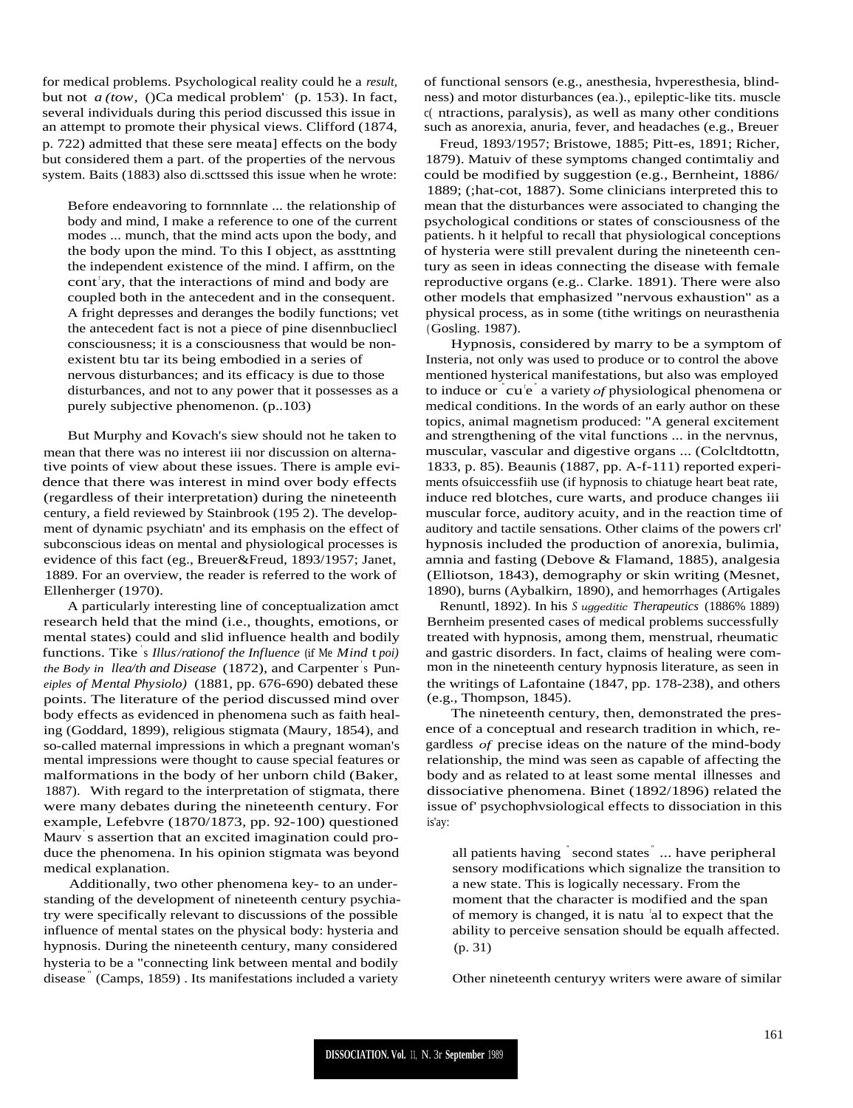for medical problems. Psychological reality could he a *result,* but not  $a$  (tow, ()Ca medical problem<sup>'</sup> (p. 153). In fact, several individuals during this period discussed this issue in an attempt to promote their physical views. Clifford (1874, p. 722) admitted that these sere meata] effects on the body but considered them a part. of the properties of the nervous system. Baits (1883) also di.scttssed this issue when he wrote:

Before endeavoring to fornnnlate ... the relationship of body and mind, I make a reference to one of the current modes ... munch, that the mind acts upon the body, and the body upon the mind. To this I object, as assttnting the independent existence of the mind. I affirm, on the cont ary, that the interactions of mind and body are coupled both in the antecedent and in the consequent. A fright depresses and deranges the bodily functions; vet the antecedent fact is not a piece of pine disennbucliecl consciousness; it is a consciousness that would be nonexistent btu tar its being embodied in a series of nervous disturbances; and its efficacy is due to those disturbances, and not to any power that it possesses as a purely subjective phenomenon. (p..103)

But Murphy and Kovach's siew should not he taken to mean that there was no interest iii nor discussion on alternative points of view about these issues. There is ample evidence that there was interest in mind over body effects (regardless of their interpretation) during the nineteenth century, a field reviewed by Stainbrook (195 2). The development of dynamic psychiatn' and its emphasis on the effect of subconscious ideas on mental and physiological processes is evidence of this fact (eg., Breuer&Freud, 1893/1957; Janet, 1889. For an overview, the reader is referred to the work of Ellenherger (1970).

A particularly interesting line of conceptualization amct research held that the mind (i.e., thoughts, emotions, or mental states) could and slid influence health and bodily functions. Tike ' s *Illus*. */rationof the Influence* (if Me *Mind* t *poi) the Body in llea/th and Disease* (1872), and Carpenter' s Pun*eiples of Mental Physiolo)* (1881, pp. 676-690) debated these points. The literature of the period discussed mind over body effects as evidenced in phenomena such as faith healing (Goddard, 1899), religious stigmata (Maury, 1854), and so-called maternal impressions in which a pregnant woman's mental impressions were thought to cause special features or malformations in the body of her unborn child (Baker, 1887). With regard to the interpretation of stigmata, there were many debates during the nineteenth century. For example, Lefebvre (1870/1873, pp. 92-100) questioned Maurv' s assertion that an excited imagination could produce the phenomena. In his opinion stigmata was beyond medical explanation.

Additionally, two other phenomena key- to an understanding of the development of nineteenth century psychiatry were specifically relevant to discussions of the possible influence of mental states on the physical body: hysteria and hypnosis. During the nineteenth century, many considered hysteria to be a "connecting link between mental and bodily disease<sup>"</sup> (Camps, 1859) . Its manifestations included a variety

of functional sensors (e.g., anesthesia, hvperesthesia, blindness) and motor disturbances (ea.)., epileptic-like tits. muscle c( ntractions, paralysis), as well as many other conditions such as anorexia, anuria, fever, and headaches (e.g., Breuer

Freud, 1893/1957; Bristowe, 1885; Pitt-es, 1891; Richer, 1879). Matuiv of these symptoms changed contimtaliy and could be modified by suggestion (e.g., Bernheint, 1886/ 1889; (;hat-cot, 1887). Some clinicians interpreted this to mean that the disturbances were associated to changing the psychological conditions or states of consciousness of the patients. h it helpful to recall that physiological conceptions of hysteria were still prevalent during the nineteenth century as seen in ideas connecting the disease with female reproductive organs (e.g.. Clarke. 1891). There were also other models that emphasized "nervous exhaustion" as a physical process, as in some (tithe writings on neurasthenia (Gosling. 1987).

Hypnosis, considered by marry to be a symptom of Insteria, not only was used to produce or to control the above mentioned hysterical manifestations, but also was employed to induce or cu<sup>te</sup> a variety of physiological phenomena or medical conditions. In the words of an early author on these topics, animal magnetism produced: "A general excitement and strengthening of the vital functions ... in the nervnus, muscular, vascular and digestive organs ... (Colcltdtottn, 1833, p. 85). Beaunis (1887, pp. A-f-111) reported experiments ofsuiccessfiih use (if hypnosis to chiatuge heart beat rate, induce red blotches, cure warts, and produce changes iii muscular force, auditory acuity, and in the reaction time of auditory and tactile sensations. Other claims of the powers crl' hypnosis included the production of anorexia, bulimia, amnia and fasting (Debove & Flamand, 1885), analgesia (Elliotson, 1843), demography or skin writing (Mesnet, 1890), burns (Aybalkirn, 1890), and hemorrhages (Artigales

Renuntl, 1892). In his *<sup>S</sup> uggeditic Therapeutics* (1886% 1889) Bernheim presented cases of medical problems successfully treated with hypnosis, among them, menstrual, rheumatic and gastric disorders. In fact, claims of healing were common in the nineteenth century hypnosis literature, as seen in the writings of Lafontaine (1847, pp. 178-238), and others (e.g., Thompson, 1845).

The nineteenth century, then, demonstrated the presence of a conceptual and research tradition in which, regardless *of* precise ideas on the nature of the mind-body relationship, the mind was seen as capable of affecting the body and as related to at least some mental illnesses and dissociative phenomena. Binet (1892/1896) related the issue of' psychophvsiological effects to dissociation in this is'ay:

all patients having " second states " ... have peripheral sensory modifications which signalize the transition to a new state. This is logically necessary. From the moment that the character is modified and the span of memory is changed, it is natu 'al to expect that the ability to perceive sensation should be equalh affected. (p. 31)

Other nineteenth centuryy writers were aware of similar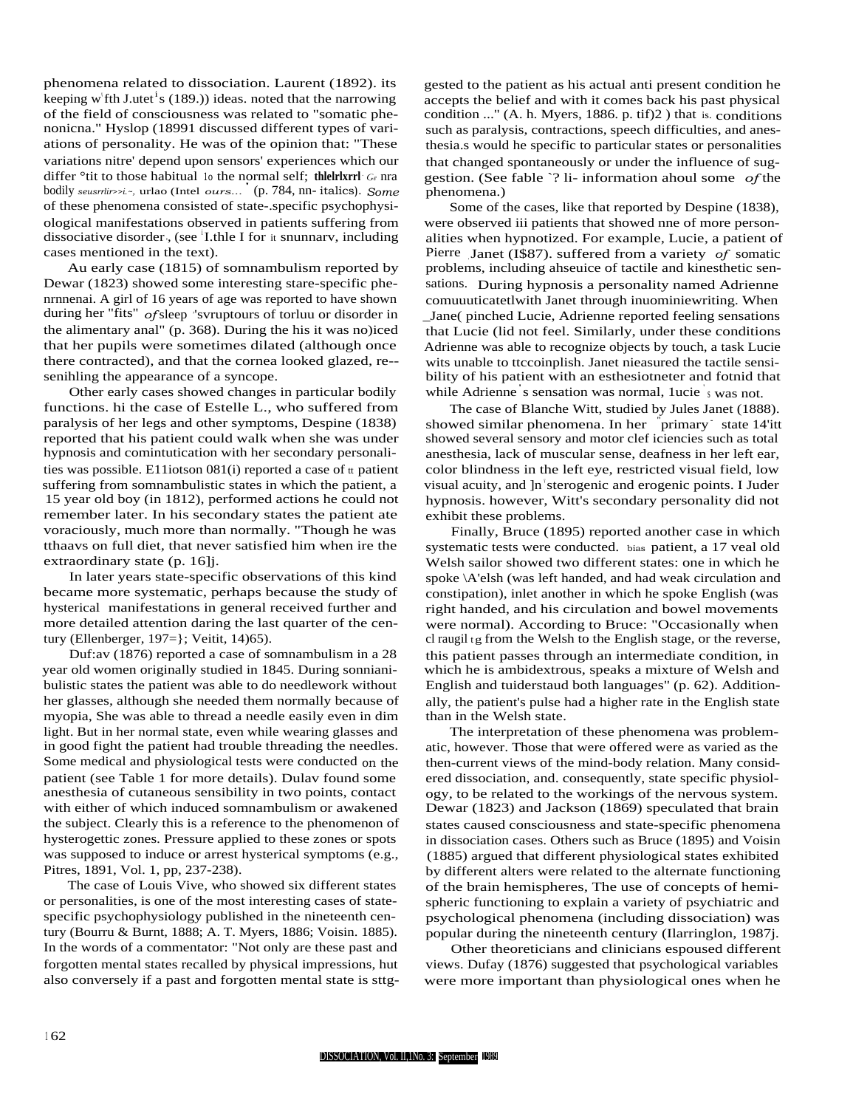phenomena related to dissociation. Laurent (1892). its keeping w'fth J.utet<sup>1</sup>s (189.)) ideas. noted that the narrowing of the field of consciousness was related to "somatic phenonicna." Hyslop (18991 discussed different types of variations of personality. He was of the opinion that: "These variations nitre' depend upon sensors' experiences which our differ °tit to those habitual 1o the normal self; **thlelrlxrrl** . *Ge* nra bodily *seusrrlir>>i.~,* urlao (Intel *ours...* ' (p. 784, nn- italics). *Some* of these phenomena consisted of state-.specific psychophysiological manifestations observed in patients suffering from dissociative disorder, (see <sup>i</sup>I.thle I for it snunnarv, including cases mentioned in the text).

Au early case (1815) of somnambulism reported by Dewar (1823) showed some interesting stare-specific phenrnnenai. A girl of 16 years of age was reported to have shown during her "fits" *of* sleep , 'svruptours of torluu or disorder in the alimentary anal" (p. 368). During the his it was no)iced that her pupils were sometimes dilated (although once there contracted), and that the cornea looked glazed, re- senihling the appearance of a syncope.

Other early cases showed changes in particular bodily functions. hi the case of Estelle L., who suffered from paralysis of her legs and other symptoms, Despine (1838) reported that his patient could walk when she was under hypnosis and comintutication with her secondary personalities was possible. E11iotson  $081(i)$  reported a case of  $t$  patient suffering from somnambulistic states in which the patient, a 15 year old boy (in 1812), performed actions he could not remember later. In his secondary states the patient ate voraciously, much more than normally. "Though he was tthaavs on full diet, that never satisfied him when ire the extraordinary state (p. 16]j.

In later years state-specific observations of this kind became more systematic, perhaps because the study of hysterical manifestations in general received further and more detailed attention daring the last quarter of the century (Ellenberger, 197=}; Veitit, 14)65).

Duf:av (1876) reported a case of somnambulism in a 28 year old women originally studied in 1845. During sonnianibulistic states the patient was able to do needlework without her glasses, although she needed them normally because of myopia, She was able to thread a needle easily even in dim light. But in her normal state, even while wearing glasses and in good fight the patient had trouble threading the needles. Some medical and physiological tests were conducted on the patient (see Table 1 for more details). Dulav found some anesthesia of cutaneous sensibility in two points, contact with either of which induced somnambulism or awakened the subject. Clearly this is a reference to the phenomenon of hysterogettic zones. Pressure applied to these zones or spots was supposed to induce or arrest hysterical symptoms (e.g., Pitres, 1891, Vol. 1, pp, 237-238).

The case of Louis Vive, who showed six different states or personalities, is one of the most interesting cases of statespecific psychophysiology published in the nineteenth century (Bourru & Burnt, 1888; A. T. Myers, 1886; Voisin. 1885). In the words of a commentator: "Not only are these past and forgotten mental states recalled by physical impressions, hut also conversely if a past and forgotten mental state is sttggested to the patient as his actual anti present condition he accepts the belief and with it comes back his past physical condition ..." (A. h. Myers, 1886. p. tif)2 ) that is. conditions such as paralysis, contractions, speech difficulties, and anesthesia.s would he specific to particular states or personalities that changed spontaneously or under the influence of suggestion. (See fable `? li- information ahoul some *of* the phenomena.)

Some of the cases, like that reported by Despine (1838), were observed iii patients that showed nne of more personalities when hypnotized. For example, Lucie, a patient of Pierre Janet (I\$87). suffered from a variety *of* somatic problems, including ahseuice of tactile and kinesthetic sensations. During hypnosis a personality named Adrienne comuuuticatetlwith Janet through inuominiewriting. When \_Jane( pinched Lucie, Adrienne reported feeling sensations that Lucie (lid not feel. Similarly, under these conditions Adrienne was able to recognize objects by touch, a task Lucie wits unable to ttccoinplish. Janet nieasured the tactile sensibility of his patient with an esthesiotneter and fotnid that while Adrienne ' s sensation was normal, 1ucie ' <sup>s</sup> was not.

The case of Blanche Witt, studied by Jules Janet (1888). showed similar phenomena. In her <sup>"</sup>primary state 14'itt showed several sensory and motor clef iciencies such as total anesthesia, lack of muscular sense, deafness in her left ear, color blindness in the left eye, restricted visual field, low visual acuity, and ]n sterogenic and erogenic points. I Juder hypnosis. however, Witt's secondary personality did not exhibit these problems.

Finally, Bruce (1895) reported another case in which systematic tests were conducted. bias patient, a 17 veal old Welsh sailor showed two different states: one in which he spoke \A'elsh (was left handed, and had weak circulation and constipation), inlet another in which he spoke English (was right handed, and his circulation and bowel movements were normal). According to Bruce: "Occasionally when cl raugil tg from the Welsh to the English stage, or the reverse, this patient passes through an intermediate condition, in which he is ambidextrous, speaks a mixture of Welsh and English and tuiderstaud both languages" (p. 62). Additionally, the patient's pulse had a higher rate in the English state than in the Welsh state.

The interpretation of these phenomena was problematic, however. Those that were offered were as varied as the then-current views of the mind-body relation. Many considered dissociation, and. consequently, state specific physiology, to be related to the workings of the nervous system. Dewar (1823) and Jackson (1869) speculated that brain states caused consciousness and state-specific phenomena in dissociation cases. Others such as Bruce (1895) and Voisin (1885) argued that different physiological states exhibited by different alters were related to the alternate functioning of the brain hemispheres, The use of concepts of hemispheric functioning to explain a variety of psychiatric and psychological phenomena (including dissociation) was popular during the nineteenth century (Ilarringlon, 1987j.

Other theoreticians and clinicians espoused different views. Dufay (1876) suggested that psychological variables were more important than physiological ones when he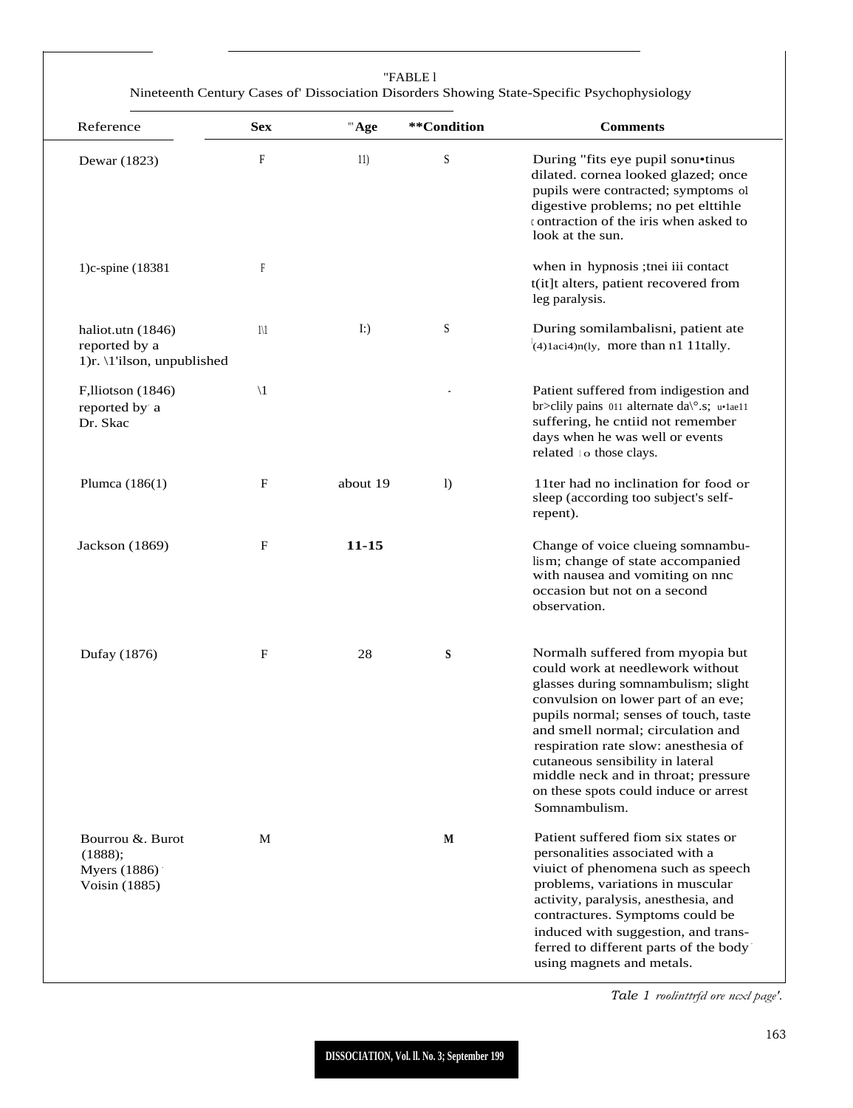| Reference                                                        | <b>Sex</b>    | "Age     | **Condition | <b>Comments</b>                                                                                                                                                                                                                                                                                                                                                                                               |
|------------------------------------------------------------------|---------------|----------|-------------|---------------------------------------------------------------------------------------------------------------------------------------------------------------------------------------------------------------------------------------------------------------------------------------------------------------------------------------------------------------------------------------------------------------|
| Dewar (1823)                                                     | F             | 11)      | S           | During "fits eye pupil sonu•tinus<br>dilated. cornea looked glazed; once<br>pupils were contracted; symptoms ol<br>digestive problems; no pet elttihle<br>contraction of the iris when asked to<br>look at the sun.                                                                                                                                                                                           |
| 1)c-spine (18381)                                                | $\mathbb{F}$  |          |             | when in hypnosis ; thei iii contact<br>t(it]t alters, patient recovered from<br>leg paralysis.                                                                                                                                                                                                                                                                                                                |
| haliot.utn (1846)<br>reported by a<br>1)r. \1'ilson, unpublished | $1\vee 1$     | $\Gamma$ | S           | During somilambalisni, patient ate<br>$(4)1$ aci4)n(ly, more than n1 11tally.                                                                                                                                                                                                                                                                                                                                 |
| $F,$ lliotson (1846)<br>reported by a<br>Dr. Skac                | $\setminus$ 1 |          |             | Patient suffered from indigestion and<br>br>clily pains 011 alternate da\°.s; u.1ae11<br>suffering, he cntiid not remember<br>days when he was well or events<br>related to those clays.                                                                                                                                                                                                                      |
| Plumca $(186(1)$                                                 | F             | about 19 | $\bf{D}$    | 11ter had no inclination for food or<br>sleep (according too subject's self-<br>repent).                                                                                                                                                                                                                                                                                                                      |
| Jackson (1869)                                                   | F             | 11-15    |             | Change of voice clueing somnambu-<br>lism; change of state accompanied<br>with nausea and vomiting on nnc<br>occasion but not on a second<br>observation.                                                                                                                                                                                                                                                     |
| Dufay (1876)                                                     | F             | 28       | S           | Normalh suffered from myopia but<br>could work at needlework without<br>glasses during somnambulism; slight<br>convulsion on lower part of an eve;<br>pupils normal; senses of touch, taste<br>and smell normal; circulation and<br>respiration rate slow: anesthesia of<br>cutaneous sensibility in lateral<br>middle neck and in throat; pressure<br>on these spots could induce or arrest<br>Somnambulism. |
| Bourrou & Burot<br>(1888);<br>Myers (1886)<br>Voisin (1885)      | M             |          | M           | Patient suffered fiom six states or<br>personalities associated with a<br>viuict of phenomena such as speech<br>problems, variations in muscular<br>activity, paralysis, anesthesia, and<br>contractures. Symptoms could be<br>induced with suggestion, and trans-<br>ferred to different parts of the body                                                                                                   |

*Tale 1 roolinttrfd ore ncxl page'.*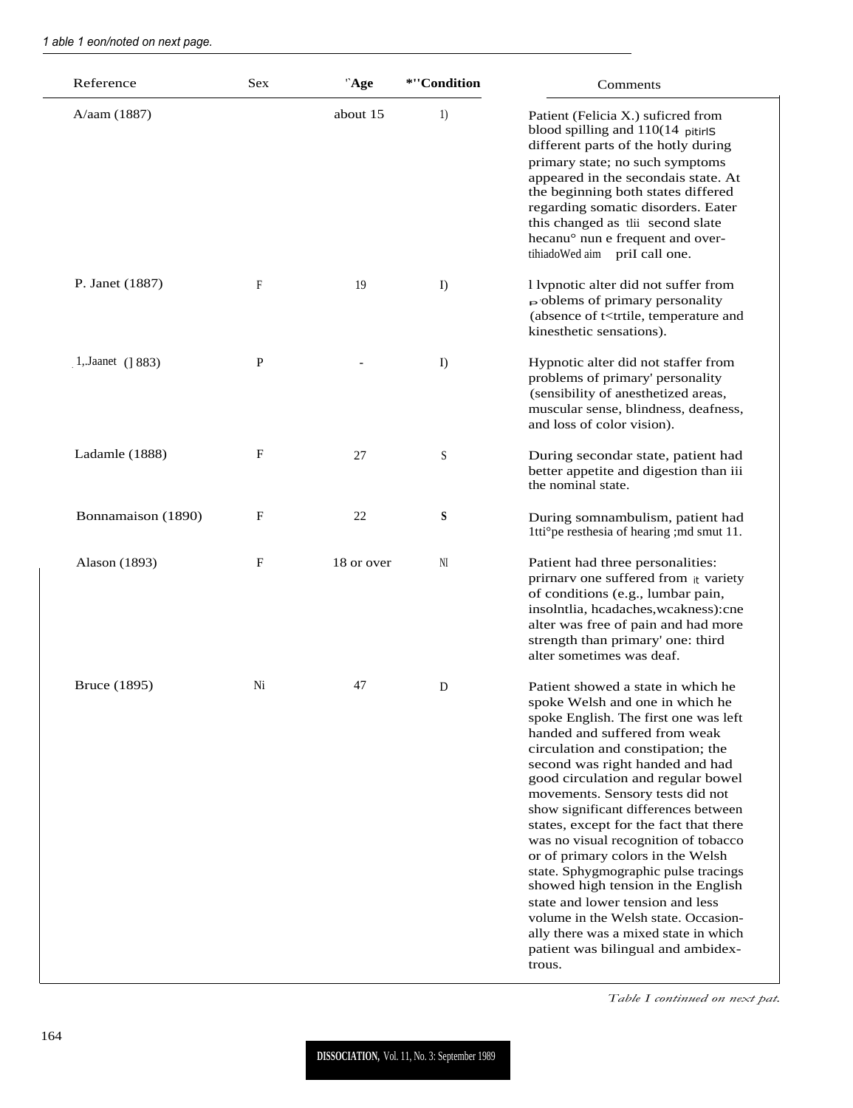| Reference          | Sex         | "Age       | *"Condition | Comments                                                                                                                                                                                                                                                                                                                                                                                                                                                                                                                                                                                                                                                                                                            |
|--------------------|-------------|------------|-------------|---------------------------------------------------------------------------------------------------------------------------------------------------------------------------------------------------------------------------------------------------------------------------------------------------------------------------------------------------------------------------------------------------------------------------------------------------------------------------------------------------------------------------------------------------------------------------------------------------------------------------------------------------------------------------------------------------------------------|
| A/aam (1887)       |             | about 15   | 1)          | Patient (Felicia X.) suficred from<br>blood spilling and $110(14$ pitirlS<br>different parts of the hotly during<br>primary state; no such symptoms<br>appeared in the secondais state. At<br>the beginning both states differed<br>regarding somatic disorders. Eater<br>this changed as tlii second slate<br>hecanu <sup>o</sup> nun e frequent and over-<br>tihiadoWed aim priI call one.                                                                                                                                                                                                                                                                                                                        |
| P. Janet (1887)    | $_{\rm F}$  | 19         | I)          | I lypnotic alter did not suffer from<br>$\triangleright$ oblems of primary personality<br>(absence of t <trtile, and<br="" temperature="">kinesthetic sensations).</trtile,>                                                                                                                                                                                                                                                                                                                                                                                                                                                                                                                                        |
| 1, Jaanet (1 883)  | $\mathbf P$ |            | I)          | Hypnotic alter did not staffer from<br>problems of primary' personality<br>(sensibility of anesthetized areas,<br>muscular sense, blindness, deafness,<br>and loss of color vision).                                                                                                                                                                                                                                                                                                                                                                                                                                                                                                                                |
| Ladamle (1888)     | $_{\rm F}$  | 27         | S           | During secondar state, patient had<br>better appetite and digestion than iii<br>the nominal state.                                                                                                                                                                                                                                                                                                                                                                                                                                                                                                                                                                                                                  |
| Bonnamaison (1890) | F           | 22         | ${\bf S}$   | During somnambulism, patient had<br>1tti°pe resthesia of hearing ;md smut 11.                                                                                                                                                                                                                                                                                                                                                                                                                                                                                                                                                                                                                                       |
| Alason (1893)      | $\mathbf F$ | 18 or over | NI          | Patient had three personalities:<br>prirnary one suffered from it variety<br>of conditions (e.g., lumbar pain,<br>insolntlia, hcadaches, wcakness): cne<br>alter was free of pain and had more<br>strength than primary' one: third<br>alter sometimes was deaf.                                                                                                                                                                                                                                                                                                                                                                                                                                                    |
| Bruce (1895)       | Ni          | 47         | D           | Patient showed a state in which he<br>spoke Welsh and one in which he<br>spoke English. The first one was left<br>handed and suffered from weak<br>circulation and constipation; the<br>second was right handed and had<br>good circulation and regular bowel<br>movements. Sensory tests did not<br>show significant differences between<br>states, except for the fact that there<br>was no visual recognition of tobacco<br>or of primary colors in the Welsh<br>state. Sphygmographic pulse tracings<br>showed high tension in the English<br>state and lower tension and less<br>volume in the Welsh state. Occasion-<br>ally there was a mixed state in which<br>patient was bilingual and ambidex-<br>trous. |

1 able 1 eon/noted on next page.

Table I continued on next pat.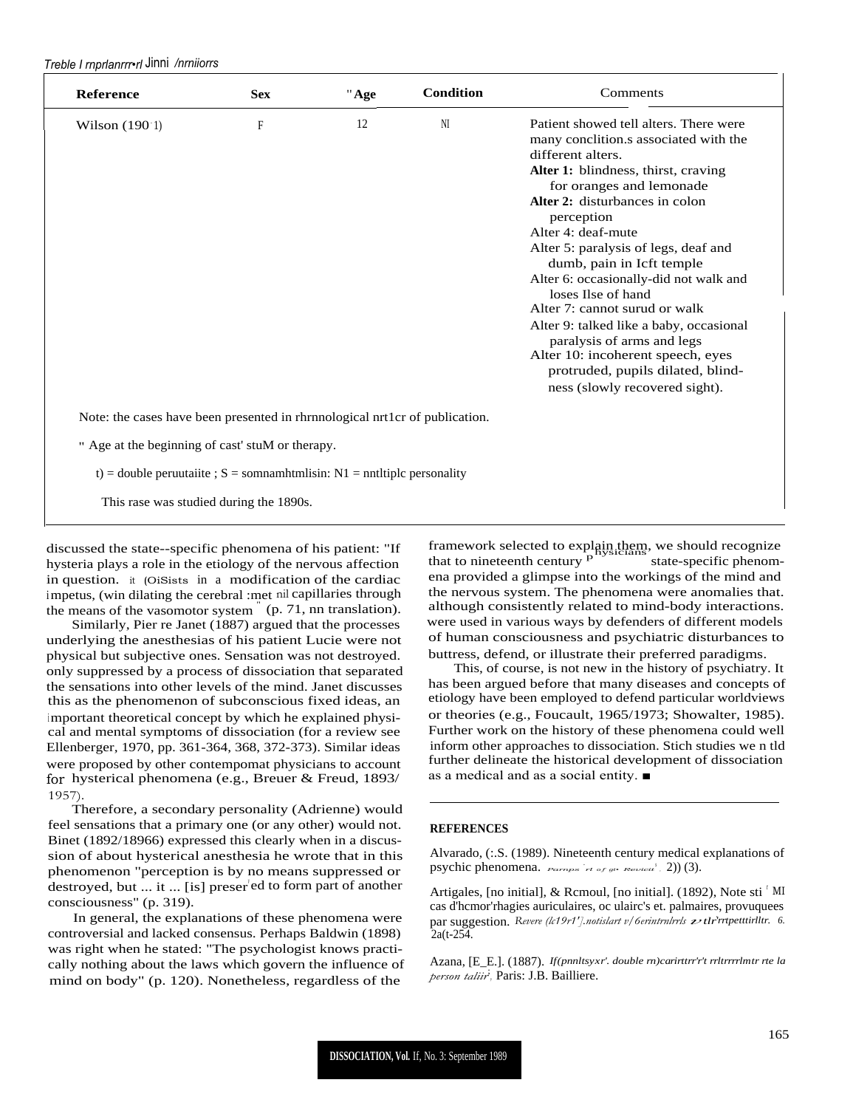*Treble I rnprlanrrr•rl* Jinni */nrniiorrs*

| <b>Reference</b>                                                             | <b>Sex</b> | "Age | <b>Condition</b> | Comments                                                                                                                                                                                                                                                                                                                                                                                                                                                                                                                                                                                                 |
|------------------------------------------------------------------------------|------------|------|------------------|----------------------------------------------------------------------------------------------------------------------------------------------------------------------------------------------------------------------------------------------------------------------------------------------------------------------------------------------------------------------------------------------------------------------------------------------------------------------------------------------------------------------------------------------------------------------------------------------------------|
| Wilson $(190.1)$                                                             | F          | 12   | NI               | Patient showed tell alters. There were<br>many conclition.s associated with the<br>different alters.<br>Alter 1: blindness, thirst, craving<br>for oranges and lemonade<br>Alter 2: disturbances in colon<br>perception<br>Alter 4: deaf-mute<br>Alter 5: paralysis of legs, deaf and<br>dumb, pain in Icft temple<br>Alter 6: occasionally-did not walk and<br>loses Ilse of hand<br>Alter 7: cannot surud or walk<br>Alter 9: talked like a baby, occasional<br>paralysis of arms and legs<br>Alter 10: incoherent speech, eyes<br>protruded, pupils dilated, blind-<br>ness (slowly recovered sight). |
| Note: the cases have been presented in rhrnnological nrt1cr of publication.  |            |      |                  |                                                                                                                                                                                                                                                                                                                                                                                                                                                                                                                                                                                                          |
| " Age at the beginning of cast' stuM or therapy.                             |            |      |                  |                                                                                                                                                                                                                                                                                                                                                                                                                                                                                                                                                                                                          |
| t) = double peruutaiite ; $S =$ sommamhtmlisin: $N1 =$ nntltiple personality |            |      |                  |                                                                                                                                                                                                                                                                                                                                                                                                                                                                                                                                                                                                          |

This rase was studied during the 1890s.

discussed the state--specific phenomena of his patient: "If hysteria plays a role in the etiology of the nervous affection in question. it (OiSists in a modification of the cardiac impetus, (win dilating the cerebral :met nil capillaries through the means of the vasomotor system " (p. 71, nn translation).

Similarly, Pier re Janet (1887) argued that the processes underlying the anesthesias of his patient Lucie were not physical but subjective ones. Sensation was not destroyed. only suppressed by a process of dissociation that separated the sensations into other levels of the mind. Janet discusses this as the phenomenon of subconscious fixed ideas, an important theoretical concept by which he explained physical and mental symptoms of dissociation (for a review see Ellenberger, 1970, pp. 361-364, 368, 372-373). Similar ideas were proposed by other contempomat physicians to account for hysterical phenomena (e.g., Breuer & Freud, 1893/ 1957).

Therefore, a secondary personality (Adrienne) would feel sensations that a primary one (or any other) would not. Binet (1892/18966) expressed this clearly when in a discussion of about hysterical anesthesia he wrote that in this phenomenon "perception is by no means suppressed or destroyed, but  $\ldots$  it  $\ldots$  [is] preser ed to form part of another consciousness" (p. 319).

In general, the explanations of these phenomena were controversial and lacked consensus. Perhaps Baldwin (1898) was right when he stated: "The psychologist knows practically nothing about the laws which govern the influence of mind on body" (p. 120). Nonetheless, regardless of the

framework selected to explain them, we should recognize hysicians that to nineteenth century <sup>p</sup> state-specific phenomena provided a glimpse into the workings of the mind and the nervous system. The phenomena were anomalies that. although consistently related to mind-body interactions. were used in various ways by defenders of different models of human consciousness and psychiatric disturbances to buttress, defend, or illustrate their preferred paradigms.

This, of course, is not new in the history of psychiatry. It has been argued before that many diseases and concepts of etiology have been employed to defend particular worldviews or theories (e.g., Foucault, 1965/1973; Showalter, 1985). Further work on the history of these phenomena could well inform other approaches to dissociation. Stich studies we n tld further delineate the historical development of dissociation as a medical and as a social entity. ■

## **REFERENCES**

Alvarado, (:.S. (1989). Nineteenth century medical explanations of psychic phenomena. *Parnps*  $r \cdot t$  of  $gt$   $R$   $\rightarrow$   $R$   $\rightarrow$  2)) (3).

Artigales, [no initial], & Rcmoul, [no initial]. (1892), Note sti  $\mathrm{M}$ I cas d'hcmor'rhagies auriculaires, oc ulairc's et. palmaires, provuquees cas d'hemor'rhagies auriculaires, oc ulaire's et. palmaires, provuquees par suggestion. *Revere (lc19r1'].notislart v/6erintrnlrrls 2tlr<sup>'</sup>rrtpetttirlltr.* 6.  $2a(t-254)$ .

Azana, [E\_E.]. (1887). *If(pnnltsyxr'. double rn)carirttrr'r't rrltrrrrlmtr rte la person taliir*; *,* Paris: J.B. Bailliere.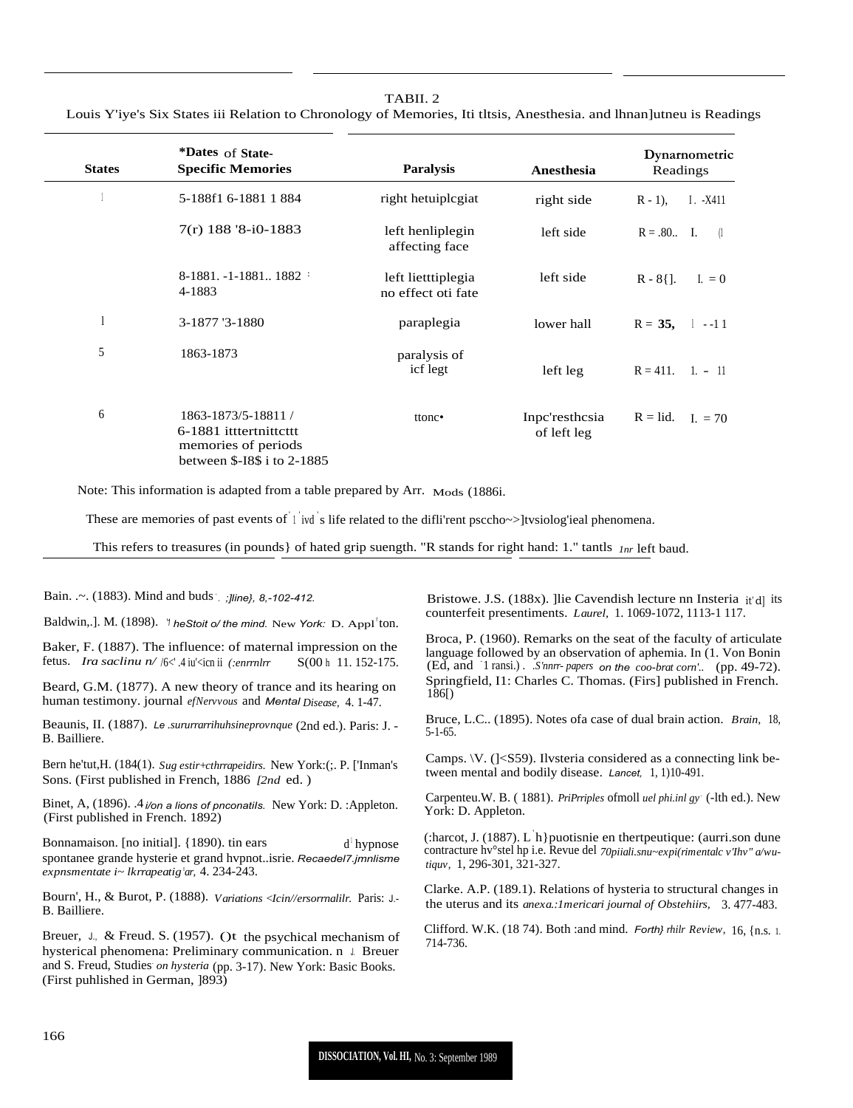## TARII<sub>2</sub>

Louis Y'iye's Six States iii Relation to Chronology of Memories, Iti thais, Anesthesia. and Ihnan utneu is Readings

| <b>States</b> | *Dates of State-<br><b>Specific Memories</b>                                                        | <b>Paralysis</b>                         | Anesthesia                    | Dynamometric<br>Readings       |
|---------------|-----------------------------------------------------------------------------------------------------|------------------------------------------|-------------------------------|--------------------------------|
|               | 5-188f1 6-1881 1884                                                                                 | right hetuiplegiat                       | right side                    | $R - 1$ ),<br>$I. -X411$       |
|               | $7(r)$ 188 '8-i0-1883                                                                               | left henliplegin<br>affecting face       | left side                     | $R = .80$ I.<br>$\Box$         |
|               | 8-1881. -1-1881 1882:<br>4-1883                                                                     | left lietttiplegia<br>no effect oti fate | left side                     | $R - 8$ {].<br>I. $= 0$        |
|               | 3-1877 '3-1880                                                                                      | paraplegia                               | lower hall                    | $R = 35$ , $1 -11$             |
| 5             | 1863-1873                                                                                           | paralysis of<br>icf legt                 | left leg                      | $R = 411$ , 1. - 11            |
| 6             | 1863-1873/5-18811 /<br>6-1881 itttertnittettt<br>memories of periods<br>between \$-18\$ i to 2-1885 | ttonc•                                   | Inpc'resthcsia<br>of left leg | $R = lid.$<br>$I_{\rm c} = 70$ |

Note: This information is adapted from a table prepared by Arr. Mods (1886i.

These are memories of past events of  $\frac{1}{1}$  ivd s life related to the diffi'rent psccho~>]tvsiolog'ieal phenomena.

This refers to treasures (in pounds) of hated grip suength. "R stands for right hand: 1." tantls  $\ln r$  left baud.

Bain. .~. (1883). Mind and buds *Jline*}, 8,-102-412.

Baldwin, J. M. (1898). *'t he Stoit o/ the mind.* New York: D. Appl<sup>t</sup>ton.

Baker, F. (1887). The influence: of maternal impression on the fetus. Ira saclinu n/ /6<'.4 iu'<icn ii (:enrrnlrr S(00 h 11.152-175.

Beard, G.M. (1877). A new theory of trance and its hearing on human testimony. journal efNervous and Mental Disease, 4, 1-47.

Beaunis, II. (1887). Le sururrarrihuhsineprovnque (2nd ed.). Paris: J. -B. Bailliere.

Bern he'tut, H. (184(1). Sug estir+cthrapeidirs. New York: (;. P. ['Inman's Sons. (First published in French, 1886 [2nd ed.)

Binet, A, (1896). 4 *i/on a lions of pnconatils*. New York: D. :Appleton. (First published in French. 1892)

Bonnamaison. [no initial]. {1890). tin ears  $d^{\dagger}$ hypnose spontanee grande hysterie et grand hvpnot..isrie. Recaedel7.jmnlisme expnsmentate  $i$ ~ Ikrrapeatig'ar, 4. 234-243.

Bourn', H., & Burot, P. (1888). Variations < Jcin//ersormalilr. Paris: J.-B. Bailliere.

Breuer, J., & Freud. S. (1957). ()t the psychical mechanism of hysterical phenomena: Preliminary communication. n J. Breuer and S. Freud, Studies on hysteria (pp. 3-17). New York: Basic Books. (First puhlished in German, 1893)

Bristowe. J.S. (188x). ]lie Cavendish lecture nn Insteria it'dl its counterfeit presentiments. Laurel, 1. 1069-1072, 1113-1 117.

Broca, P. (1960). Remarks on the seat of the faculty of articulate language followed by an observation of aphemia. In (1. Von Bonin (Ed, and 1 ransi.). S'nnrr-papers on the coo-brat corn'. (pp. 49-72). Springfield, I1: Charles C. Thomas. (Firs] published in French.  $186$ [)

Bruce, L.C.. (1895). Notes of a case of dual brain action. Brain, 18,  $5-1-65$ .

Camps.  $V.$  ( $|<$ S59). Ilvsteria considered as a connecting link between mental and bodily disease. Lancet, 1, 1)10-491.

Carpenteu.W. B. (1881). PriPrriples of moll uel phi.inl gy (-lth ed.). New York: D. Appleton.

(:harcot, J. (1887). L h} puotisnie en thertpeutique: (aurri.son dune contracture hv°stel hp i.e. Revue del 70piiali.snu~expi(rimentalc v'Ihv" a/wutiguv, 1, 296-301, 321-327.

Clarke. A.P. (189.1). Relations of hysteria to structural changes in the uterus and its *anexa*.: *Imericari journal of Obstehiirs*, 3.477-483.

Clifford. W.K. (18 74). Both : and mind. Forth} rhilr Review, 16, {n.s. 1. 714-736.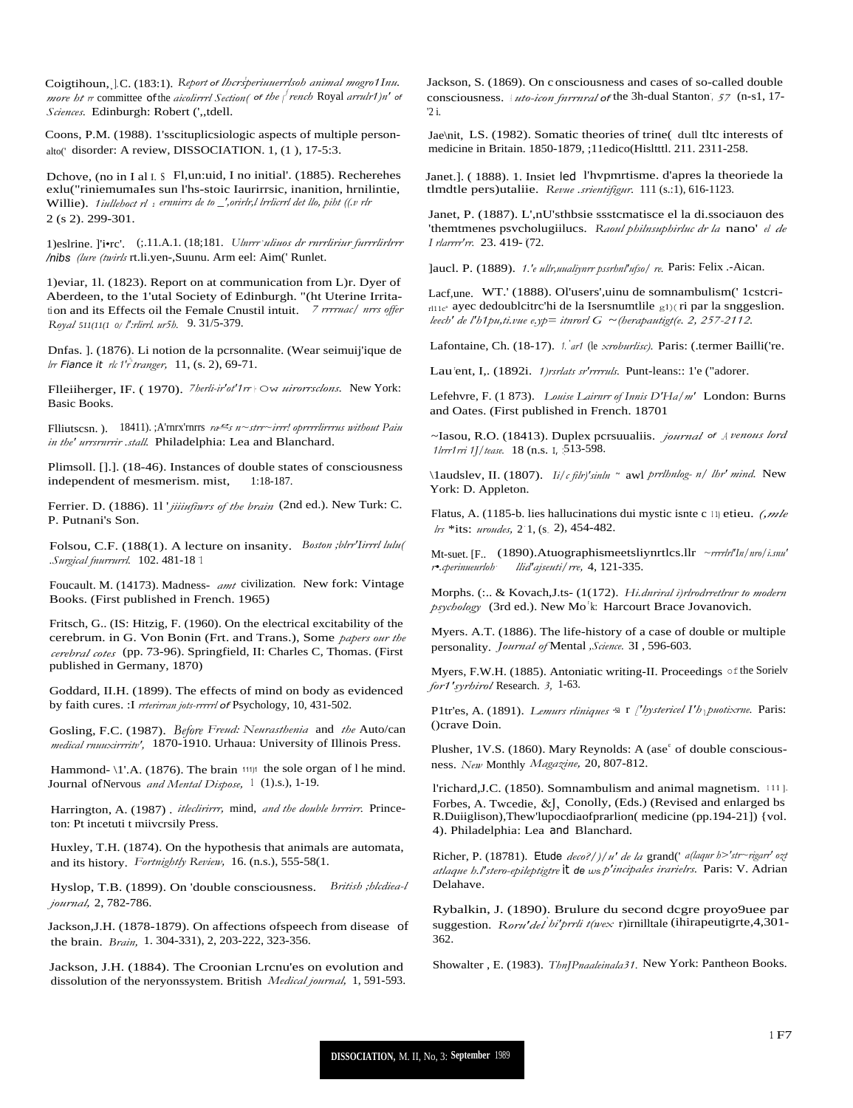Coigtihoun, J.C. (183:1). Report of lhersperiuuerrlsoh animal mogro1Inu. more ht rr committee of the aicolirrrl Section( of the  $\int$  rench Royal arrulr1)n' of Sciences. Edinburgh: Robert ('"tdell.

Coons, P.M. (1988). 1'sscituplicsiologic aspects of multiple personalto(' disorder: A review, DISSOCIATION. 1, (1), 17-5:3.

Dchove, (no in I al I. § Fl,un:uid, I no initial'. (1885). Recherehes exlu("riniemumaIes sun l'hs-stoic Iaurirrsic, inanition, hrnilintie, Willie). 1iullehoct  $rl_1$  ernnirrs de to \_',orirlr,l lrrlicrrl det llo, piht ((.v rlr 2 (s 2). 299-301.

1)eslrine. ['i•rc'. (;.11.A.1. (18;181. Ulnrrr'uliuos dr rnrrliriur furrrlirlrrr /nibs (lure (twirls rt.li.yen-, Suunu. Arm eel: Aim(' Runlet.

1) eviar, 11. (1823). Report on at communication from L)r. Dyer of Aberdeen, to the 1'utal Society of Edinburgh. "(ht Uterine Irritation and its Effects oil the Female Cnustil intuit. 7 rrrruac/ nrrs offer Royal 511(11(1 o/ l':rlirrl. ur5h. 9.31/5-379.

Dnfas. ]. (1876). Li notion de la pcrsonnalite. (Wear seimuij'ique de Irr Fiance it rk 1'r tranger,  $11$ , (s. 2), 69-71.

Flleitherger, IF. (1970). 7herli-ir'ot'1rr | Ow uirorrsclons. New York: **Basic Books.** 

Flliutscsn.). 18411).;A'rnrx'rnrrs  $n \leq s$  n~strr~irrr! oprrrrlirrrus without Paiu in the' urrsrnrrir .stall. Philadelphia: Lea and Blanchard.

Plimsoll. [].]. (18-46). Instances of double states of consciousness independent of mesmerism. mist,  $1:18-187$ .

Ferrier. D. (1886). 11 *jiiiufiwrs of the brain* (2nd ed.). New Turk: C. P. Putnani's Son.

Folsou, C.F. (188(1). A lecture on insanity. Boston ;blrr'Iirrrl lulu( .Surgical fnurrurrl. 102.481-18 1

Foucault. M. (14173). Madness- amt civilization. New fork: Vintage Books. (First published in French. 1965)

Fritsch, G. (IS: Hitzig, F. (1960). On the electrical excitability of the cerebrum. in G. Von Bonin (Frt. and Trans.), Some papers our the cerebral cotes (pp. 73-96). Springfield, II: Charles C, Thomas. (First published in Germany, 1870)

Goddard, II.H. (1899). The effects of mind on body as evidenced by faith cures. : I reterirran jots-rererl of Psychology, 10, 431-502.

Gosling, F.C. (1987). Before Freud: Neurasthenia and the Auto/can medical rnuuxirrritv', 1870-1910. Urhaua: University of Illinois Press.

Hammond- \1'.A. (1876). The brain 111)1 the sole organ of l he mind. Journal of Nervous *and Mental Dispose*, <sup>1</sup> (1).s.), 1-19.

Harrington, A. (1987). itleclirirrr, mind, and the double hrrrirr. Princeton: Pt incetuti t miivcrsily Press.

Huxley, T.H. (1874). On the hypothesis that animals are automata, and its history. Fortnightly Review, 16. (n.s.), 555-58(1.

Hyslop, T.B. (1899). On 'double consciousness. British ;hlcdiea-l journal, 2, 782-786.

Jackson, J.H. (1878-1879). On affections of speech from disease of the brain. Brain, 1.304-331), 2, 203-222, 323-356.

Jackson, J.H. (1884). The Croonian Lrcnu'es on evolution and dissolution of the neryonssystem. British Medical journal, 1, 591-593. Jackson, S. (1869). On c onsciousness and cases of so-called double consciousness. *uto-icon furrural* of the 3h-dual Stanton, 57 (n-s1, 17- $\overline{2}$  i

Jae\nit, LS. (1982). Somatic theories of trine( dull tltc interests of medicine in Britain. 1850-1879. :11edico(Hisltttl. 211. 2311-258.

Janet.]. (1888). 1. Insiet led l'hypmrtisme. d'apres la theoriede la tlmdtle pers)utaliie. Revue .srientifigur. 111 (s.:1), 616-1123.

Janet, P. (1887). L',nU'sthbsie ssstcmatisce el la di.ssociauon des 'themtmenes psycholugiilucs. Raoul philnsuphirluc dr la nano' el de I rlarrrr'rr. 23.419-(72.

]aucl. P. (1889). 1.'e ullr, uualiynrr pssrhnl'ufso/re. Paris: Felix .-Aican.

Lacf,une. WT.' (1888). Ol'users',uinu de somnambulism(' 1cstcri- $_{\text{r111c}}$  ayec dedoublcitrc'hi de la Isersnumtlile  $_{\text{g1}}$ )(ri par la snggeslion. leech' de l'h1pu, ti.vue e.yp= itnrorl G ~ (herapautigt (e. 2, 257-2112.

Lafontaine, Ch. (18-17). 1. art (le xroburlisc). Paris: (.termer Bailli('re.

Lau'ent, I,. (1892i. 1)rsrlats sr'rrrruls. Punt-leans:: 1'e ("adorer.

Lefehvre, F. (1 873). Louise Lairnrr of Innis D'Ha/m' London: Burns and Oates. (First published in French. 18701

~Iasou, R.O. (18413). Duplex pcrsuualiis. journal of Avenous lord 1lrrr1rri 1J/tease. 18 (n.s. 1, 513-598.

\1audslev, II. (1807). *Ii/cfilr)'sinln* ~ awl prrlhnlog- n/ lhr' mind. New York: D. Appleton.

Flatus, A. (1185-b. lies hallucinations dui mystic isnte c 11 etieu. (mle lts \*its: *uroudes*, 2 1, (s. 2), 454-482.

Mt-suet. [F., (1890). Atuographismeetsliynrtlcs. 11r ~rrrrlr'In/nro/i.snu' r.cperinueurloh llid'ajseuti/rre, 4, 121-335.

Morphs. (:.. & Kovach, J.ts- (1(172). Hi.dnriral i)rlrodrretlrur to modern psychology (3rd ed.). New Mo<sup>t</sup>k: Harcourt Brace Jovanovich.

Myers. A.T. (1886). The life-history of a case of double or multiple personality. Journal of Mental , Science. 31, 596-603.

Myers, F.W.H. (1885). Antoniatic writing-II. Proceedings of the Sorielv for1' syrhirol Research. 3, 1-63.

P1tr'es, A. (1891). Lemurs rliniques sa r ['hystericel I'h<sub>)</sub> puotixrne. Paris: Ocrave Doin.

Plusher, 1V.S. (1860). Mary Reynolds: A (ase<sup>e</sup> of double consciousness. New Monthly Magazine, 20, 807-812.

l'richard, J.C. (1850). Somnambulism and animal magnetism. 111]. Forbes, A. Twcedie, & J, Conolly, (Eds.) (Revised and enlarged bs R.Duiiglison), Thew'lupocdiaofprarlion(medicine (pp.194-21]) {vol. 4). Philadelphia: Lea and Blanchard.

Richer, P. (18781). Etude  $deco$ ?/)/u' de la grand(' a(laqur h>'str~rigarr' ozt atlaque h.l'stero-epileptigtre it de wsp'incipales irarielrs. Paris: V. Adrian Delahave.

Rybalkin, J. (1890). Brulure du second dcgre proyo9uee par suggestion. Roru'del hi'prrli t(wex r)irnilltale (ihirapeutigrte, 4,301- $362.$ 

Showalter, E. (1983). ThnJPnaaleinala31. New York: Pantheon Books.